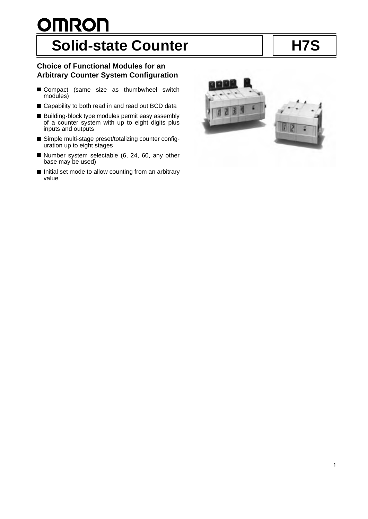# **OMRON** Solid-state Counter **H7S**

# **Choice of Functional Modules for an Arbitrary Counter System Configuration**

- Compact (same size as thumbwheel switch modules)
- Capability to both read in and read out BCD data
- Building-block type modules permit easy assembly of a counter system with up to eight digits plus inputs and outputs
- Simple multi-stage preset/totalizing counter configuration up to eight stages
- Number system selectable  $(6, 24, 60, \text{any other})$ base may be used)
- Initial set mode to allow counting from an arbitrary value

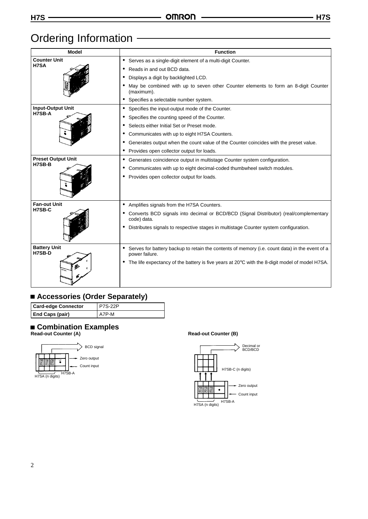# Ordering Information -

| <b>Model</b>                        | <b>Function</b>                                                                                                    |
|-------------------------------------|--------------------------------------------------------------------------------------------------------------------|
| <b>Counter Unit</b>                 | • Serves as a single-digit element of a multi-digit Counter.                                                       |
| <b>H7SA</b>                         | Reads in and out BCD data.                                                                                         |
|                                     | Displays a digit by backlighted LCD.                                                                               |
|                                     | May be combined with up to seven other Counter elements to form an 8-digit Counter<br>(maximum).                   |
|                                     | • Specifies a selectable number system.                                                                            |
| <b>Input-Output Unit</b><br>H7SB-A  | Specifies the input-output mode of the Counter.<br>$\bullet$                                                       |
|                                     | Specifies the counting speed of the Counter.                                                                       |
|                                     | Selects either Initial Set or Preset mode.                                                                         |
|                                     | Communicates with up to eight H7SA Counters.                                                                       |
|                                     | Generates output when the count value of the Counter coincides with the preset value.                              |
|                                     | Provides open collector output for loads.                                                                          |
| <b>Preset Output Unit</b><br>H7SB-B | Generates coincidence output in multistage Counter system configuration.                                           |
|                                     | Communicates with up to eight decimal-coded thumbwheel switch modules.                                             |
|                                     | Provides open collector output for loads.                                                                          |
| <b>Fan-out Unit</b>                 | Amplifies signals from the H7SA Counters.<br>$\bullet$                                                             |
| H7SB-C                              | Converts BCD signals into decimal or BCD/BCD (Signal Distributor) (real/complementary<br>code) data.               |
|                                     | Distributes signals to respective stages in multistage Counter system configuration.                               |
| <b>Battery Unit</b><br>H7SB-D       | • Serves for battery backup to retain the contents of memory (i.e. count data) in the event of a<br>power failure. |
|                                     | • The life expectancy of the battery is five years at 20°C with the 8-digit model of model H7SA.                   |

# **Accessories (Order Separately)**

| <b>Card-edge Connector</b> | <b>P7S-22P</b> |
|----------------------------|----------------|
| <b>End Caps (pair)</b>     | A7P-M          |

# **Combination Examples**

**Read-out Counter (A)**



## **Read-out Counter (B)**

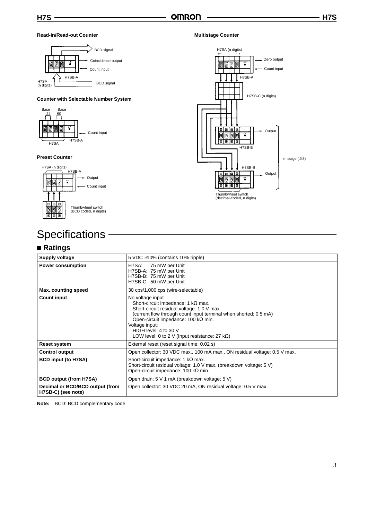#### **Read-in/Read-out Counter**



### **Counter with Selectable Number System**



#### **Preset Counter**



# **Specifications**

# **Ratings**

#### **Supply voltage** 5 VDC ±10% (contains 10% ripple) **Power consumption H7SA:** 75 mW per Unit H7SB-A: 75 mW per Unit H7SB-B: 75 mW per Unit H7SB-C: 50 mW per Unit **Max. counting speed** 30 cps/1,000 cps (wire-selectable) **Count input No voltage input** Short-circuit impedance: 1 kΩ max. Short-circuit residual voltage: 1.0 V max. (current flow through count input terminal when shorted: 0.5 mA) Open-circuit impedance: 100 kΩ min. Voltage input: HIGH level: 4 to 30 V LOW level: 0 to 2 V (Input resistance: 27 kΩ) **Reset system** External reset (reset signal time: 0.02 s) **Control output Control output Control output Control** output **Control** output **Control** Open collector: 30 VDC max., 100 mA max., ON residual voltage: 0.5 V max. **BCD input (to H7SA)** Short-circuit impedance: 1 kΩ max. Short-circuit residual voltage: 1.0 V max. (breakdown voltage: 5 V) Open-circuit impedance: 100 kΩ min. **BCD output (from H7SA)** Open drain: 5 V 1 mA (breakdown voltage: 5 V) **Decimal or BCD/BCD output (from H7SB-C) (see note)** Open collector: 30 VDC 20 mA, ON residual voltage: 0.5 V max.

**Note:** BCD: BCD complementary code

#### **Multistage Counter**

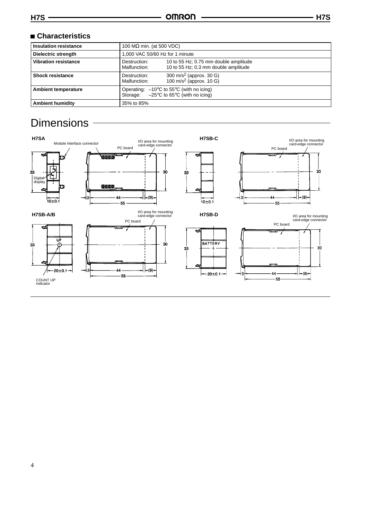| <b>Insulation resistance</b> | 100 $M\Omega$ min. (at 500 VDC)                                                                                              |  |  |  |  |
|------------------------------|------------------------------------------------------------------------------------------------------------------------------|--|--|--|--|
| Dielectric strength          | 1.000 VAC 50/60 Hz for 1 minute                                                                                              |  |  |  |  |
| <b>Vibration resistance</b>  | 10 to 55 Hz; 0.75 mm double amplitude<br>Destruction:<br>10 to 55 Hz; 0.3 mm double amplitude<br>Malfunction:                |  |  |  |  |
| <b>Shock resistance</b>      | 300 m/s <sup>2</sup> (approx. 30 G)<br>Destruction:<br>100 m/s <sup>2</sup> (approx. 10 G)<br>Malfunction:                   |  |  |  |  |
| <b>Ambient temperature</b>   | Operating: $-10^{\circ}$ C to 55 $^{\circ}$ C (with no icing)<br>Storage: $-25^{\circ}$ C to 65 $^{\circ}$ C (with no icing) |  |  |  |  |
| <b>Ambient humidity</b>      | 35% to 85%                                                                                                                   |  |  |  |  |

# **Dimensions**

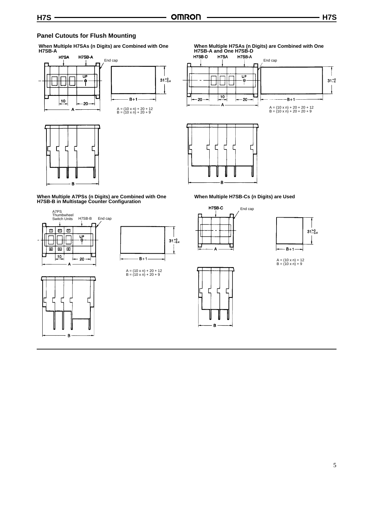# **Panel Cutouts for Flush Mounting**

**When Multiple H7SAs (n Digits) are Combined with One H7SB-A**





# **When Multiple H7SAs (n Digits) are Combined with One H7SB-A and One H7SB-D**





### **When Multiple H7SB-Cs (n Digits) are Used**





A = (10 x n) + 12 B = (10 x n) + 9

**When Multiple A7PSs (n Digits) are Combined with One H7SB-B in Multistage Counter Configuration**



B



A = (10 x n) + 20 + 12 B = (10 x n) + 20 + 9

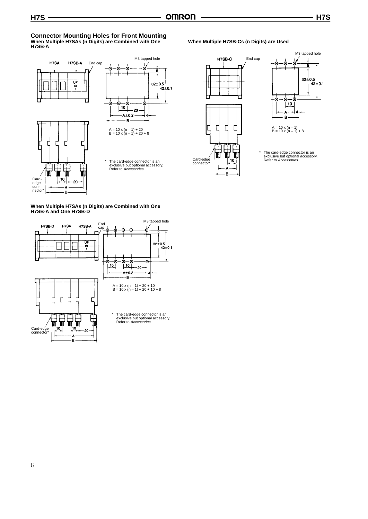#### **Connector Mounting Holes for Front Mounting When Multiple H7SAs (n Digits) are Combined with One H7SB-A**



# **When Multiple H7SAs (n Digits) are Combined with One H7SB-A and One H7SB-D**



### **When Multiple H7SB-Cs (n Digits) are Used**



B



\* The card-edge connector is an exclusive but optional accessory. Refer to Accessories.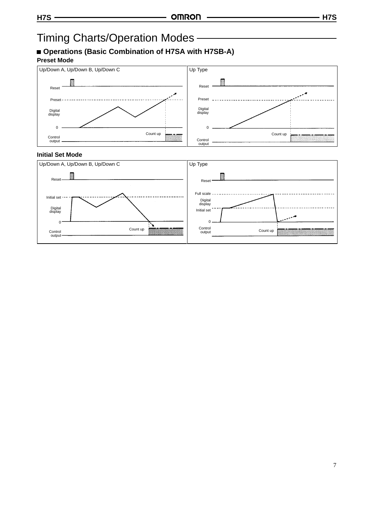# Timing Charts/Operation Modes

# **Operations (Basic Combination of H7SA with H7SB-A)**

# **Preset Mode**



# **Initial Set Mode**

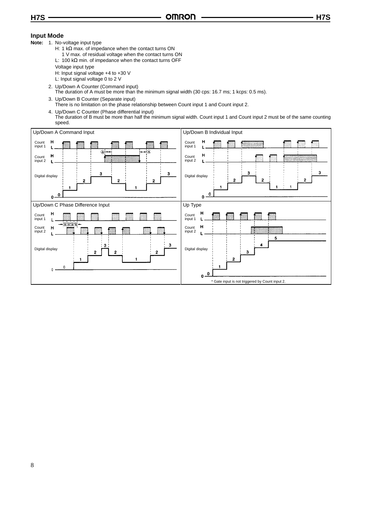# **Input Mode**

- **Note:** 1. No-voltage input type
	- H: 1 kΩ max. of impedance when the contact turns ON
	- 1 V max. of residual voltage when the contact turns ON L: 100 kΩ min. of impedance when the contact turns OFF
	-
	- Voltage input type
	- H: Input signal voltage +4 to +30 V
	- L: Input signal voltage 0 to 2 V
	- 2. Up/Down A Counter (Command input)
	- The duration of A must be more than the minimum signal width (30 cps: 16.7 ms; 1 kcps: 0.5 ms).
	- 3. Up/Down B Counter (Separate input)
	- There is no limitation on the phase relationship between Count input 1 and Count input 2.
	- 4. Up/Down C Counter (Phase differential input) The duration of B must be more than half the minimum signal width. Count input 1 and Count input 2 must be of the same counting speed.

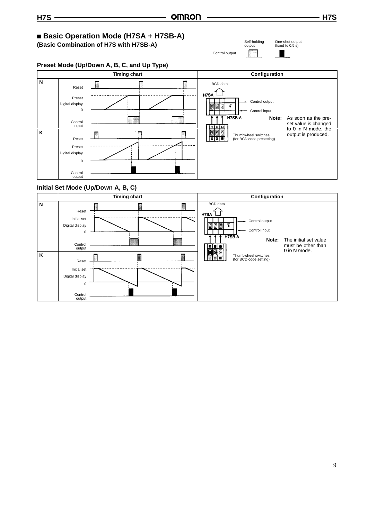#### **Basic Operation Mode (H7SA + H7SB-A)** Self-holding One-shot output (fixed to 0.5 s) **(Basic Combination of H7S with H7SB-A)** output Control output**Preset Mode (Up/Down A, B, C, and Up Type) Timing chart Configuration N** BCD data 懓 K Reset  $HZSA$ Preset Control output Digital display ų  $\theta$ Control input H7SB-A **Note:** As soon as the pre-Control set value is changed output to 0 in N mode, the **K** in the state of the **K** in the state of the **K** in the **K** in the **K** in the **K** in the **K** in the state of the **K** in the state of the **K** in the state of the **K** in the state of the **K** is produce output is produced. Thumbwheel switches (for BCD code presetting) Reset 国国国 Preset Digital display  $\mathbf{0}$ Control output **Initial Set Mode (Up/Down A, B, C) Timing chart Configuration N** BCD data p ľ  $HZ$ Reset Initial set Control output Digital display 냏 00 Control input  $\overline{0}$ H7SB-A **Note:** The initial set value must be other than Control output lя Īв 0 in N mode 0 in N mode. **K** K B Thumbwheel switches (for BCD code setting) Reset Initial set Digital display

0 Control output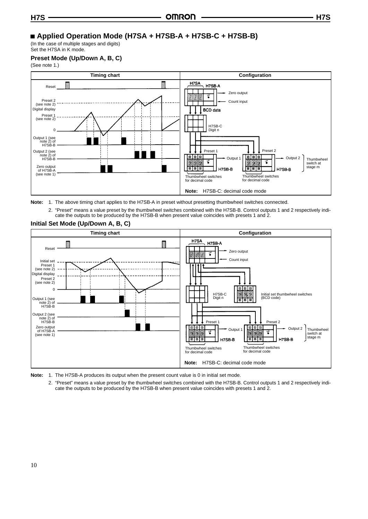# **Applied Operation Mode (H7SA + H7SB-A + H7SB-C + H7SB-B)**

(In the case of multiple stages and digits) Set the H7SA in K mode.

### **Preset Mode (Up/Down A, B, C)**

(See note 1.)



**Note:** 1. The above timing chart applies to the H7SB-A in preset without presetting thumbwheel switches connected.

2. "Preset" means a value preset by the thumbwheel switches combined with the H7SB-B. Control outputs 1 and 2 respectively indicate the outputs to be produced by the H7SB-B when present value coincides with presets 1 and 2.



**Initial Set Mode (Up/Down A, B, C)**



2. "Preset" means a value preset by the thumbwheel switches combined with the H7SB-B. Control outputs 1 and 2 respectively indicate the outputs to be produced by the H7SB-B when present value coincides with presets 1 and 2.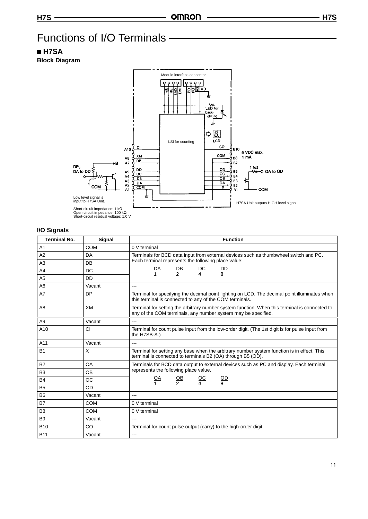# Functions of I/O Terminals

# **H7SA**

**Block Diagram**



| <b>Terminal No.</b> | Signal    | <b>Function</b>                                                                                                                                                |
|---------------------|-----------|----------------------------------------------------------------------------------------------------------------------------------------------------------------|
| A <sub>1</sub>      | COM       | 0 V terminal                                                                                                                                                   |
| A2                  | <b>DA</b> | Terminals for BCD data input from external devices such as thumbwheel switch and PC.                                                                           |
| A3                  | DB        | Each terminal represents the following place value:                                                                                                            |
| A4                  | DC        | $\mathbf{D}\mathbf{A}$<br>$rac{\text{DB}}{2}$<br>DC<br>D<br>$\overline{4}$<br>$\mathbf{1}$<br>8                                                                |
| A <sub>5</sub>      | DD.       |                                                                                                                                                                |
| A <sub>6</sub>      | Vacant    | $---$                                                                                                                                                          |
| A7                  | DP        | Terminal for specifying the decimal point lighting on LCD. The decimal point illuminates when<br>this terminal is connected to any of the COM terminals.       |
| A <sub>8</sub>      | XM        | Terminal for setting the arbitrary number system function. When this terminal is connected to<br>any of the COM terminals, any number system may be specified. |
| A9                  | Vacant    | $---$                                                                                                                                                          |
| A <sub>10</sub>     | CI        | Terminal for count pulse input from the low-order digit. (The 1st digit is for pulse input from<br>the H7SB-A.)                                                |
| A11                 | Vacant    | $---$                                                                                                                                                          |
| <b>B1</b>           | X         | Terminal for setting any base when the arbitrary number system function is in effect. This<br>terminal is connected to terminals B2 (OA) through B5 (OD).      |
| <b>B2</b>           | OA        | Terminals for BCD data output to external devices such as PC and display. Each terminal                                                                        |
| B <sub>3</sub>      | OB        | represents the following place value.                                                                                                                          |
| <b>B4</b>           | ОC        | $\frac{OB}{2}$<br>$\underline{OC}$<br>$\overline{OD}$<br><u>OA</u><br>$\mathbf{A}$<br>R<br>1                                                                   |
| <b>B5</b>           | OD        |                                                                                                                                                                |
| B <sub>6</sub>      | Vacant    | $--$                                                                                                                                                           |
| <b>B7</b>           | COM       | 0 V terminal                                                                                                                                                   |
| B <sub>8</sub>      | COM       | 0 V terminal                                                                                                                                                   |
| B <sub>9</sub>      | Vacant    | $-$                                                                                                                                                            |
| <b>B10</b>          | CO        | Terminal for count pulse output (carry) to the high-order digit.                                                                                               |
| <b>B11</b>          | Vacant    | $---$                                                                                                                                                          |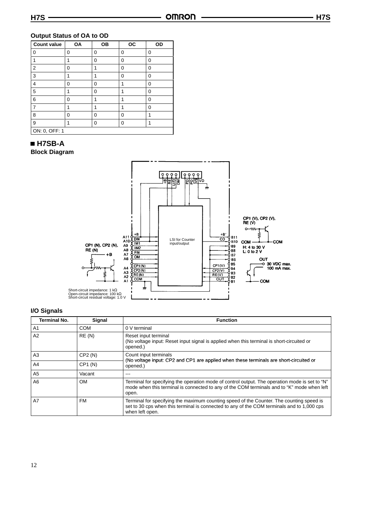### **Output Status of OA to OD**

| <b>Count value</b> | OA | <b>OB</b> | <b>OC</b> | OD |  |  |
|--------------------|----|-----------|-----------|----|--|--|
| $\mathbf 0$        | 0  | 0         | 0         | 0  |  |  |
| 1                  |    | 0         | 0         | 0  |  |  |
| $\overline{2}$     | 0  | 1         | 0         | 0  |  |  |
| 3                  |    |           | 0         | 0  |  |  |
| 4                  | 0  | 0         | 1         | 0  |  |  |
| 5                  | 1  | 0         | 1         | 0  |  |  |
| 6                  | 0  |           |           | 0  |  |  |
| 7                  |    | 1         | 1         | 0  |  |  |
| 8                  | 0  | 0         | 0         | 1  |  |  |
| 9                  |    | 0         | 0         | 1  |  |  |
| ON: 0, OFF: 1      |    |           |           |    |  |  |

 **H7SB-A Block Diagram**



| <b>Terminal No.</b> | Signal    | <b>Function</b>                                                                                                                                                                                           |
|---------------------|-----------|-----------------------------------------------------------------------------------------------------------------------------------------------------------------------------------------------------------|
| A1                  | COM       | 0 V terminal                                                                                                                                                                                              |
| A2                  | RE(N)     | Reset input terminal<br>(No voltage input: Reset input signal is applied when this terminal is short-circuited or<br>opened.)                                                                             |
| A3                  | CP2(N)    | Count input terminals<br>(No voltage input: CP2 and CP1 are applied when these terminals are short-circuited or                                                                                           |
| A <sub>4</sub>      | CP1(N)    | opened.)                                                                                                                                                                                                  |
| A <sub>5</sub>      | Vacant    | ---                                                                                                                                                                                                       |
| A <sub>6</sub>      | <b>OM</b> | Terminal for specifying the operation mode of control output. The operation mode is set to "N"<br>mode when this terminal is connected to any of the COM terminals and to "K" mode when left<br>open.     |
| A7                  | FM        | Terminal for specifying the maximum counting speed of the Counter. The counting speed is<br>set to 30 cps when this terminal is connected to any of the COM terminals and to 1,000 cps<br>when left open. |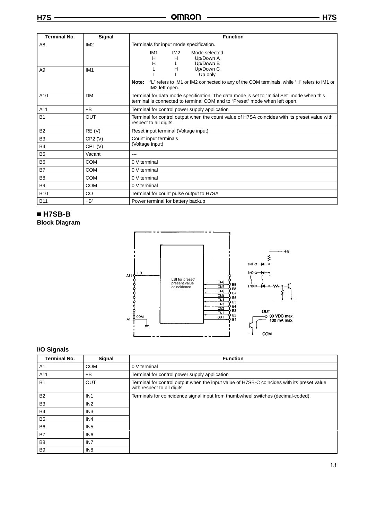| H7S                   |                 | <b>OMRON</b><br>H <sub>7</sub> S                                                                                      |
|-----------------------|-----------------|-----------------------------------------------------------------------------------------------------------------------|
| <b>Terminal No.</b>   | Signal          | <b>Function</b>                                                                                                       |
| A8                    | IM <sub>2</sub> | Terminals for input mode specification.                                                                               |
|                       |                 | <u>IM2</u><br><u>IM1</u><br>Mode selected<br>H<br>Н<br>Up/Down A                                                      |
|                       |                 | н<br>Up/Down B                                                                                                        |
| A <sub>9</sub>        | IM <sub>1</sub> | Up/Down C<br>н<br>Up only                                                                                             |
|                       |                 | "L" refers to IM1 or IM2 connected to any of the COM terminals, while "H" refers to IM1 or<br>Note:<br>IM2 left open. |
| $\Lambda$ 1 $\Lambda$ | <b>DM</b>       | Torminal for data mode specification. The data mode is set to "Ipitial Set" mode when this                            |

|                |            | the contract of the contract of the contract of<br><b>UP ONLY</b>                                                                                                        |  |  |  |  |  |
|----------------|------------|--------------------------------------------------------------------------------------------------------------------------------------------------------------------------|--|--|--|--|--|
|                |            | "L" refers to IM1 or IM2 connected to any of the COM terminals, while "H" refers to IM1 or<br>Note:<br>IM2 left open.                                                    |  |  |  |  |  |
| A10            | <b>DM</b>  | Terminal for data mode specification. The data mode is set to "Initial Set" mode when this<br>terminal is connected to terminal COM and to "Preset" mode when left open. |  |  |  |  |  |
| A11            | $+B$       | Terminal for control power supply application                                                                                                                            |  |  |  |  |  |
| <b>B1</b>      | <b>OUT</b> | Terminal for control output when the count value of H7SA coincides with its preset value with<br>respect to all digits.                                                  |  |  |  |  |  |
| <b>B2</b>      | RE(V)      | Reset input terminal (Voltage input)                                                                                                                                     |  |  |  |  |  |
| B <sub>3</sub> | CP2(V)     | Count input terminals                                                                                                                                                    |  |  |  |  |  |
| B <sub>4</sub> | CP1 (V)    | (Voltage input)                                                                                                                                                          |  |  |  |  |  |
| <b>B5</b>      | Vacant     | ---                                                                                                                                                                      |  |  |  |  |  |
| B6             | <b>COM</b> | 0 V terminal                                                                                                                                                             |  |  |  |  |  |
| <b>B7</b>      | <b>COM</b> | 0 V terminal                                                                                                                                                             |  |  |  |  |  |
| B <sub>8</sub> | <b>COM</b> | 0 V terminal                                                                                                                                                             |  |  |  |  |  |
| B <sub>9</sub> | <b>COM</b> | 0 V terminal                                                                                                                                                             |  |  |  |  |  |
| <b>B10</b>     | CO.        | Terminal for count pulse output to H7SA                                                                                                                                  |  |  |  |  |  |
| <b>B11</b>     | $+B'$      | Power terminal for battery backup                                                                                                                                        |  |  |  |  |  |

# **H7SB-B**

**Block Diagram**



| <b>Terminal No.</b> | Signal          | <b>Function</b>                                                                                                          |
|---------------------|-----------------|--------------------------------------------------------------------------------------------------------------------------|
| A1                  | <b>COM</b>      | 0 V terminal                                                                                                             |
| A11                 | $+B$            | Terminal for control power supply application                                                                            |
| <b>B1</b>           | <b>OUT</b>      | Terminal for control output when the input value of H7SB-C coincides with its preset value<br>with respect to all digits |
| <b>B2</b>           | IN <sub>1</sub> | Terminals for coincidence signal input from thumbwheel switches (decimal-coded).                                         |
| B <sub>3</sub>      | IN <sub>2</sub> |                                                                                                                          |
| <b>B4</b>           | IN <sub>3</sub> |                                                                                                                          |
| B <sub>5</sub>      | IN <sub>4</sub> |                                                                                                                          |
| B <sub>6</sub>      | IN <sub>5</sub> |                                                                                                                          |
| <b>B7</b>           | IN <sub>6</sub> |                                                                                                                          |
| B <sub>8</sub>      | IN <sub>7</sub> |                                                                                                                          |
| <b>B9</b>           | IN <sub>8</sub> |                                                                                                                          |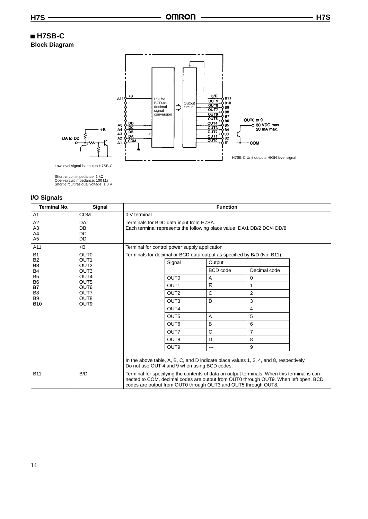# **H7SB-C Block Diagram**



Low level signal is input to H7SB-C.

Short-circuit impedance: 1 kΩ Open-circuit impedance: 100 kΩ Short-circuit residual voltage: 1.0 V

| <b>Terminal No.</b>                          | Signal                               | <b>Function</b>                                                                                                                                                                                                                                       |                                                                         |                         |                |  |  |  |  |  |  |
|----------------------------------------------|--------------------------------------|-------------------------------------------------------------------------------------------------------------------------------------------------------------------------------------------------------------------------------------------------------|-------------------------------------------------------------------------|-------------------------|----------------|--|--|--|--|--|--|
| A1                                           | <b>COM</b>                           | 0 V terminal                                                                                                                                                                                                                                          |                                                                         |                         |                |  |  |  |  |  |  |
| A <sub>2</sub><br>A3<br>A4<br>A <sub>5</sub> | DA<br>DB<br>DC<br>DD                 | Terminals for BDC data input from H7SA.<br>Each terminal represents the following place value: DA/1 DB/2 DC/4 DD/8                                                                                                                                    |                                                                         |                         |                |  |  |  |  |  |  |
| A11                                          | $+B$                                 |                                                                                                                                                                                                                                                       | Terminal for control power supply application                           |                         |                |  |  |  |  |  |  |
| <b>B1</b>                                    | OUT <sub>0</sub>                     |                                                                                                                                                                                                                                                       | Terminals for decimal or BCD data output as specified by B/D (No. B11). |                         |                |  |  |  |  |  |  |
| B <sub>2</sub><br>B <sub>3</sub>             | OUT <sub>1</sub><br>OUT <sub>2</sub> |                                                                                                                                                                                                                                                       | Signal                                                                  | Output                  |                |  |  |  |  |  |  |
| <b>B4</b>                                    | OUT <sub>3</sub>                     |                                                                                                                                                                                                                                                       |                                                                         | <b>BCD</b> code         | Decimal code   |  |  |  |  |  |  |
| B <sub>5</sub><br>B <sub>6</sub>             | OUT4<br>OUT <sub>5</sub>             |                                                                                                                                                                                                                                                       | OUT <sub>0</sub>                                                        | $\overline{\mathsf{A}}$ | $\mathbf 0$    |  |  |  |  |  |  |
| B7                                           | OUT6                                 |                                                                                                                                                                                                                                                       | OUT <sub>1</sub>                                                        | $\overline{\mathsf{B}}$ | 1              |  |  |  |  |  |  |
| B8                                           | OUT7                                 |                                                                                                                                                                                                                                                       | OUT <sub>2</sub>                                                        | $\overline{C}$          | $\overline{2}$ |  |  |  |  |  |  |
| <b>B</b> 9<br><b>B10</b>                     | OUT <sub>8</sub><br>OUT9             |                                                                                                                                                                                                                                                       | OUT <sub>3</sub>                                                        | $\overline{D}$          | 3              |  |  |  |  |  |  |
|                                              |                                      |                                                                                                                                                                                                                                                       | OUT4                                                                    | $---$                   | 4              |  |  |  |  |  |  |
|                                              |                                      |                                                                                                                                                                                                                                                       | OUT <sub>5</sub>                                                        | A                       | 5              |  |  |  |  |  |  |
|                                              |                                      |                                                                                                                                                                                                                                                       | OUT <sub>6</sub>                                                        | B                       | 6              |  |  |  |  |  |  |
|                                              |                                      |                                                                                                                                                                                                                                                       | OUT7                                                                    | $\mathsf{C}$            | $\overline{7}$ |  |  |  |  |  |  |
|                                              |                                      |                                                                                                                                                                                                                                                       | OUT <sub>8</sub>                                                        | D                       | 8              |  |  |  |  |  |  |
|                                              |                                      |                                                                                                                                                                                                                                                       | OUT <sub>9</sub>                                                        | $---$                   | 9              |  |  |  |  |  |  |
|                                              |                                      | In the above table, A, B, C, and D indicate place values 1, 2, 4, and 8, respectively.<br>Do not use OUT 4 and 9 when using BCD codes.                                                                                                                |                                                                         |                         |                |  |  |  |  |  |  |
| <b>B11</b>                                   | B/D                                  | Terminal for specifying the contents of data on output terminals. When this terminal is con-<br>nected to COM, decimal codes are output from OUT0 through OUT9. When left open, BCD<br>codes are output from OUT0 through OUT3 and OUT5 through OUT8. |                                                                         |                         |                |  |  |  |  |  |  |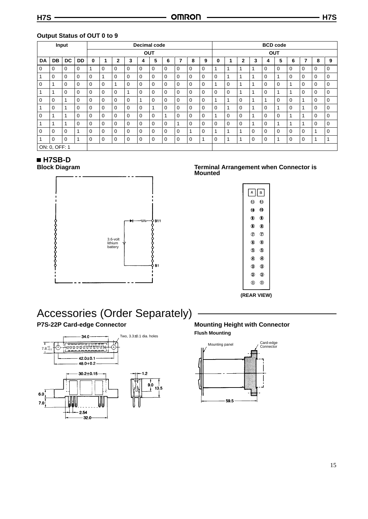|          | Input         |          |             | <b>Decimal code</b> |             |              |             |             |             |             |             |             |          | <b>BCD</b> code |             |              |          |             |             |             |             |             |                |
|----------|---------------|----------|-------------|---------------------|-------------|--------------|-------------|-------------|-------------|-------------|-------------|-------------|----------|-----------------|-------------|--------------|----------|-------------|-------------|-------------|-------------|-------------|----------------|
|          |               |          |             |                     |             |              |             | <b>OUT</b>  |             |             |             |             |          | <b>OUT</b>      |             |              |          |             |             |             |             |             |                |
| DA       | <b>DB</b>     | DC       | DD          | $\bf{0}$            |             | $\mathbf{2}$ | 3           | 4           | 5           | 6           | 7           | 8           | 9        | 0               |             | $\mathbf{2}$ | 3        | 4           | 5           | 6           | 7           | 8           | 9              |
| $\Omega$ | 0             | 0        | 0           |                     | $\mathbf 0$ | 0            | $\mathbf 0$ | $\mathbf 0$ | $\mathbf 0$ | $\mathbf 0$ | $\mathbf 0$ | $\mathbf 0$ | 0        | 1               | 1           | 1            |          | $\mathbf 0$ | $\mathbf 0$ | $\mathbf 0$ | $\mathbf 0$ | $\mathbf 0$ | 0              |
|          | 0             | $\Omega$ | $\mathbf 0$ | $\Omega$            |             | $\Omega$     | $\Omega$    | $\mathbf 0$ | $\Omega$    | 0           | $\mathbf 0$ | 0           | $\Omega$ | 0               | 1           | 4            |          | $\Omega$    | 1           | $\Omega$    | $\mathbf 0$ | $\Omega$    | 0              |
| $\Omega$ |               | $\Omega$ | $\Omega$    | $\Omega$            | 0           | 1            | 0           | $\Omega$    | 0           | 0           | 0           | 0           | $\Omega$ | 1               | $\Omega$    | 4            |          | $\Omega$    | $\Omega$    | 1           | 0           | $\Omega$    | 0              |
|          |               | $\Omega$ | $\Omega$    | $\Omega$            | $\Omega$    | $\Omega$     | 1           | $\Omega$    | $\Omega$    | $\mathbf 0$ | $\Omega$    | $\mathbf 0$ | $\Omega$ | $\Omega$        | $\mathbf 0$ | 1            |          | $\Omega$    | 1           | 1           | $\Omega$    | $\Omega$    | 0              |
| $\Omega$ | $\Omega$      | 1        | $\Omega$    | $\Omega$            | $\Omega$    | $\Omega$     | $\Omega$    | 1           | $\Omega$    | 0           | $\Omega$    | $\mathbf 0$ | $\Omega$ | 1               | 1           | $\Omega$     |          |             | $\Omega$    | $\Omega$    | 1           | $\Omega$    | 0              |
|          | 0             | 1        | $\Omega$    | $\Omega$            | $\Omega$    | $\Omega$     | $\Omega$    | $\mathbf 0$ | 4           | 0           | 0           | 0           | $\Omega$ | 0               | 1           | $\Omega$     |          | $\Omega$    | 1           | $\Omega$    |             | $\Omega$    | 0              |
| $\Omega$ |               | 1        | $\Omega$    | $\Omega$            | $\Omega$    | $\Omega$     | $\Omega$    | $\Omega$    | $\Omega$    | 1           | $\Omega$    | $\mathbf 0$ | $\Omega$ | 1               | $\Omega$    | $\Omega$     |          | $\Omega$    | $\Omega$    | 1           |             | $\Omega$    | 0              |
|          |               | 1        | $\Omega$    | $\mathbf 0$         | $\mathbf 0$ | $\Omega$     | $\Omega$    | $\Omega$    | 0           | 0           |             | $\Omega$    | $\Omega$ | $\Omega$        | $\Omega$    | $\Omega$     |          | $\Omega$    | 1           | 1           | 1           | $\Omega$    | 0              |
| $\Omega$ | $\Omega$      | $\Omega$ | 1           | $\Omega$            | 0           | $\Omega$     | $\Omega$    | $\Omega$    | $\Omega$    | 0           | $\mathbf 0$ | 1           | $\Omega$ |                 | 1           | 1            | $\Omega$ | $\Omega$    | $\Omega$    | $\Omega$    | 0           | 4           | 0              |
|          | $\Omega$      | 0        | 4           | 0                   | 0           | 0            | 0           | 0           | 0           | 0           | 0           | 0           | ٠        | 0               | и           | и            | 0        | 0           | 1           | $\mathbf 0$ | 0           |             | $\overline{ }$ |
|          | ON: 0, OFF: 1 |          |             |                     |             |              |             |             |             |             |             |             |          |                 |             |              |          |             |             |             |             |             |                |

## **Output Status of OUT 0 to 9**

# **H7SB-D**

**Block Diagram**



## **Terminal Arrangement when Connector is Mounted**

| $\lfloor$ A $\lfloor$ B $\rfloor$   |                |
|-------------------------------------|----------------|
| ∩                                   | $\omega$       |
| ര ര                                 |                |
| $\begin{matrix} 0 & 0 \end{matrix}$ |                |
| $\circledcirc$                      |                |
| $\circledD$                         | $\mathcal{F}$  |
| ⋒                                   | $^{\circ}$     |
| ⋒                                   | ⊚              |
| ⋒                                   | ◉              |
| ⊚                                   | <b>Q</b>       |
| ໑                                   | $\circledcirc$ |
| ന                                   | ന              |
|                                     |                |

**(REAR VIEW)**

# Accessories (Order Separately) **P7S-22P Card-edge Connector**



**Mounting Height with Connector Flush Mounting**



15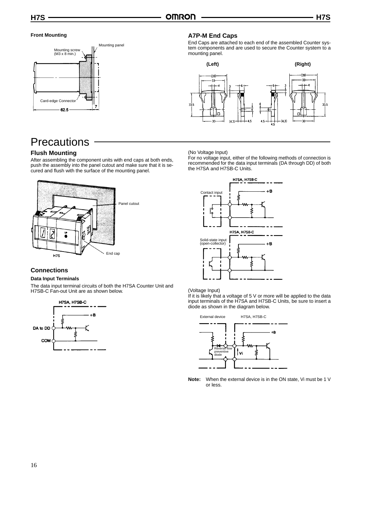### **Front Mounting**



# **Precautions**

# **Flush Mounting**

After assembling the component units with end caps at both ends, push the assembly into the panel cutout and make sure that it is secured and flush with the surface of the mounting panel.



### **Connections**

### **Data Input Terminals**

The data input terminal circuits of both the H7SA Counter Unit and H7SB-C Fan-out Unit are as shown below.



### **A7P-M End Caps**

End Caps are attached to each end of the assembled Counter system components and are used to secure the Counter system to a mounting panel.



#### (No Voltage Input)

For no voltage input, either of the following methods of connection is recommended for the data input terminals (DA through DD) of both the H7SA and H7SB-C Units.



#### (Voltage Input)

If it is likely that a voltage of 5 V or more will be applied to the data input terminals of the H7SA and H7SB-C Units, be sure to insert a diode as shown in the diagram below.



**Note:** When the external device is in the ON state, Vi must be 1 V or less.